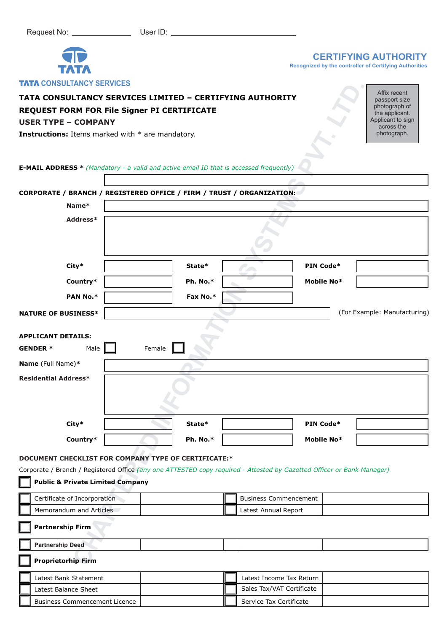

## **CERTIFYING AUTHORITY**

**Recognized by the controller of Certifying Authorities**

## **TATA CONSULTANCY SERVICES LIMITED – CERTIFYING AUTHORITY**

# **REQUEST FORM FOR File Signer PI CERTIFICATE**

## **USER TYPE – COMPANY**

| <b>ININ UUNJULIANUT JEKVIUEJ</b>                                                                                                                                                                                              |          |          |  |                              |           |            |                                                                                       |
|-------------------------------------------------------------------------------------------------------------------------------------------------------------------------------------------------------------------------------|----------|----------|--|------------------------------|-----------|------------|---------------------------------------------------------------------------------------|
| TATA CONSULTANCY SERVICES LIMITED - CERTIFYING AUTHORITY<br>REQUEST FORM FOR File Signer PI CERTIFICATE<br><b>USER TYPE - COMPANY</b>                                                                                         |          |          |  |                              |           |            | Affix recent<br>passport size<br>photograph of<br>the applicant.<br>Applicant to sign |
| <b>Instructions:</b> Items marked with * are mandatory.                                                                                                                                                                       |          |          |  |                              |           |            | across the<br>photograph.                                                             |
| <b>E-MAIL ADDRESS *</b> (Mandatory - a valid and active email ID that is accessed frequently)                                                                                                                                 |          |          |  |                              |           |            |                                                                                       |
| CORPORATE / BRANCH / REGISTERED OFFICE / FIRM / TRUST / ORGANIZATION:                                                                                                                                                         |          |          |  |                              |           |            |                                                                                       |
| Name*                                                                                                                                                                                                                         |          |          |  |                              |           |            |                                                                                       |
|                                                                                                                                                                                                                               | Address* |          |  |                              |           |            |                                                                                       |
|                                                                                                                                                                                                                               |          |          |  |                              |           |            |                                                                                       |
| City*                                                                                                                                                                                                                         |          | State*   |  |                              |           | PIN Code*  |                                                                                       |
| Country*                                                                                                                                                                                                                      |          | Ph. No.* |  |                              |           | Mobile No* |                                                                                       |
| PAN No.*                                                                                                                                                                                                                      |          | Fax No.* |  |                              |           |            |                                                                                       |
| <b>NATURE OF BUSINESS*</b>                                                                                                                                                                                                    |          |          |  |                              |           |            | (For Example: Manufacturing)                                                          |
| <b>GENDER *</b><br>Male<br>Name (Full Name)*<br><b>Residential Address*</b>                                                                                                                                                   | Female   |          |  |                              |           |            |                                                                                       |
| City*                                                                                                                                                                                                                         |          | State*   |  |                              | PIN Code* |            |                                                                                       |
| Country*                                                                                                                                                                                                                      |          | Ph. No.* |  |                              |           | Mobile No* |                                                                                       |
| DOCUMENT CHECKLIST FOR COMPANY TYPE OF CERTIFICATE:*<br>Corporate / Branch / Registered Office (any one ATTESTED copy required - Attested by Gazetted Officer or Bank Manager)<br><b>Public &amp; Private Limited Company</b> |          |          |  |                              |           |            |                                                                                       |
| Certificate of Incorporation                                                                                                                                                                                                  |          |          |  | <b>Business Commencement</b> |           |            |                                                                                       |
| Memorandum and Articles                                                                                                                                                                                                       |          |          |  | Latest Annual Report         |           |            |                                                                                       |
| <b>Partnership Firm</b>                                                                                                                                                                                                       |          |          |  |                              |           |            |                                                                                       |
| <b>Partnership Deed</b>                                                                                                                                                                                                       |          |          |  |                              |           |            |                                                                                       |
| <b>Proprietorhip Firm</b>                                                                                                                                                                                                     |          |          |  |                              |           |            |                                                                                       |
| Latest Bank Statement                                                                                                                                                                                                         |          |          |  | Latest Income Tax Return     |           |            |                                                                                       |
| Latest Balance Sheet                                                                                                                                                                                                          |          |          |  | Sales Tax/VAT Certificate    |           |            |                                                                                       |
| <b>Business Commencement Licence</b>                                                                                                                                                                                          |          |          |  | Service Tax Certificate      |           |            |                                                                                       |